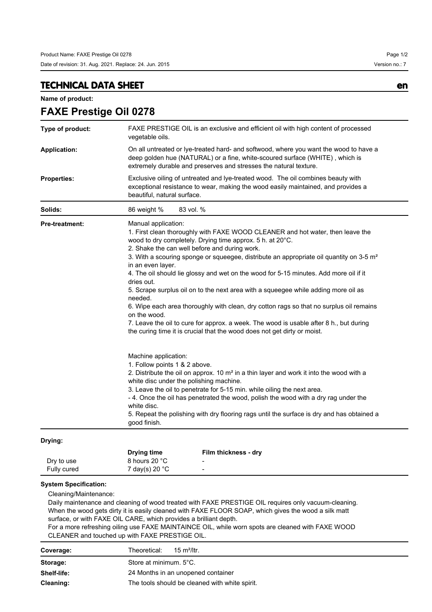## **TECHNICAL DATA SHEET en**

**Name of product:**

| Type of product:      | FAXE PRESTIGE OIL is an exclusive and efficient oil with high content of processed<br>vegetable oils.                                                                                                                                                                                                                                                                                                                                                                                                                                                                                                                                                                                                                                                                                                                                    |  |  |
|-----------------------|------------------------------------------------------------------------------------------------------------------------------------------------------------------------------------------------------------------------------------------------------------------------------------------------------------------------------------------------------------------------------------------------------------------------------------------------------------------------------------------------------------------------------------------------------------------------------------------------------------------------------------------------------------------------------------------------------------------------------------------------------------------------------------------------------------------------------------------|--|--|
| <b>Application:</b>   | On all untreated or lye-treated hard- and softwood, where you want the wood to have a<br>deep golden hue (NATURAL) or a fine, white-scoured surface (WHITE), which is<br>extremely durable and preserves and stresses the natural texture.                                                                                                                                                                                                                                                                                                                                                                                                                                                                                                                                                                                               |  |  |
| <b>Properties:</b>    | Exclusive oiling of untreated and lye-treated wood. The oil combines beauty with<br>exceptional resistance to wear, making the wood easily maintained, and provides a<br>beautiful, natural surface.                                                                                                                                                                                                                                                                                                                                                                                                                                                                                                                                                                                                                                     |  |  |
| Solids:               | 83 vol. %<br>86 weight %                                                                                                                                                                                                                                                                                                                                                                                                                                                                                                                                                                                                                                                                                                                                                                                                                 |  |  |
| <b>Pre-treatment:</b> | Manual application:<br>1. First clean thoroughly with FAXE WOOD CLEANER and hot water, then leave the<br>wood to dry completely. Drying time approx. 5 h. at 20°C.<br>2. Shake the can well before and during work.<br>3. With a scouring sponge or squeegee, distribute an appropriate oil quantity on 3-5 m <sup>2</sup><br>in an even layer.<br>4. The oil should lie glossy and wet on the wood for 5-15 minutes. Add more oil if it<br>dries out.<br>5. Scrape surplus oil on to the next area with a squeegee while adding more oil as<br>needed.<br>6. Wipe each area thoroughly with clean, dry cotton rags so that no surplus oil remains<br>on the wood.<br>7. Leave the oil to cure for approx. a week. The wood is usable after 8 h., but during<br>the curing time it is crucial that the wood does not get dirty or moist. |  |  |
|                       | Machine application:<br>1. Follow points 1 & 2 above.<br>2. Distribute the oil on approx. 10 m <sup>2</sup> in a thin layer and work it into the wood with a<br>white disc under the polishing machine.<br>3. Leave the oil to penetrate for 5-15 min. while oiling the next area.<br>- 4. Once the oil has penetrated the wood, polish the wood with a dry rag under the<br>white disc.<br>5. Repeat the polishing with dry flooring rags until the surface is dry and has obtained a<br>good finish.                                                                                                                                                                                                                                                                                                                                   |  |  |

## **Drying:**

|             | <b>Drying time</b>         | Film thickness - dry     |
|-------------|----------------------------|--------------------------|
| Dry to use  | 8 hours 20 °C              | $\overline{\phantom{a}}$ |
| Fully cured | $7$ day(s) 20 $^{\circ}$ C | $\overline{\phantom{0}}$ |

## **System Specification:**

Cleaning/Maintenance:

Daily maintenance and cleaning of wood treated with FAXE PRESTIGE OIL requires only vacuum-cleaning. When the wood gets dirty it is easily cleaned with FAXE FLOOR SOAP, which gives the wood a silk matt surface, or with FAXE OIL CARE, which provides a brilliant depth.

For a more refreshing oiling use FAXE MAINTAINCE OIL, while worn spots are cleaned with FAXE WOOD CLEANER and touched up with FAXE PRESTIGE OIL.

| Coverage:   | Theoretical:<br>15 m <sup>2</sup> /ltr.        |  |
|-------------|------------------------------------------------|--|
| Storage:    | Store at minimum. 5°C.                         |  |
| Shelf-life: | 24 Months in an unopened container             |  |
| Cleaning:   | The tools should be cleaned with white spirit. |  |